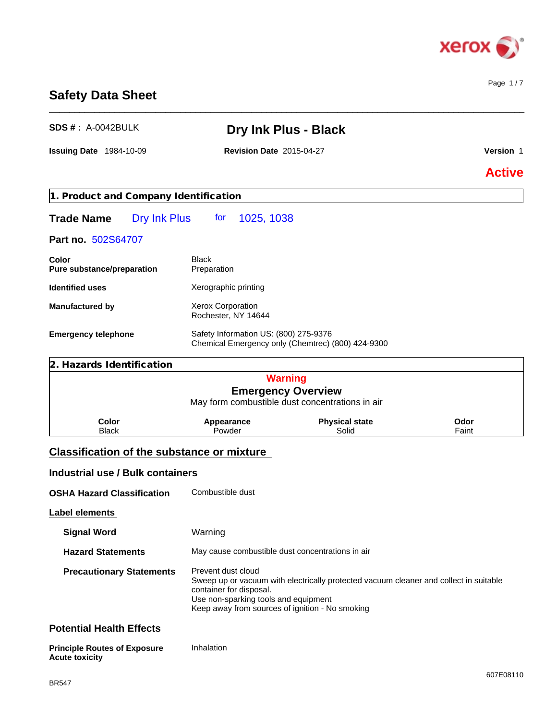

# **Safety Data Sheet**

| <b>SDS #: A-0042BULK</b>                          |                                                                                            | <b>Dry Ink Plus - Black</b>                                                           |               |
|---------------------------------------------------|--------------------------------------------------------------------------------------------|---------------------------------------------------------------------------------------|---------------|
| <b>Issuing Date 1984-10-09</b>                    | <b>Revision Date 2015-04-27</b>                                                            |                                                                                       | Version 1     |
|                                                   |                                                                                            |                                                                                       | <b>Active</b> |
| 1. Product and Company Identification             |                                                                                            |                                                                                       |               |
| Dry Ink Plus<br><b>Trade Name</b>                 | 1025, 1038<br>tor                                                                          |                                                                                       |               |
| Part no. 502S64707                                |                                                                                            |                                                                                       |               |
| Color<br>Pure substance/preparation               | <b>Black</b><br>Preparation                                                                |                                                                                       |               |
| <b>Identified uses</b>                            | Xerographic printing                                                                       |                                                                                       |               |
| <b>Manufactured by</b>                            | <b>Xerox Corporation</b><br>Rochester, NY 14644                                            |                                                                                       |               |
| <b>Emergency telephone</b>                        | Safety Information US: (800) 275-9376<br>Chemical Emergency only (Chemtrec) (800) 424-9300 |                                                                                       |               |
| 2. Hazards Identification                         |                                                                                            |                                                                                       |               |
|                                                   |                                                                                            | <b>Warning</b><br><b>Emergency Overview</b>                                           |               |
|                                                   |                                                                                            | May form combustible dust concentrations in air                                       |               |
| Color<br><b>Black</b>                             | Appearance<br>Powder                                                                       | <b>Physical state</b><br>Solid                                                        | Odor<br>Faint |
| <b>Classification of the substance or mixture</b> |                                                                                            |                                                                                       |               |
| <b>Industrial use / Bulk containers</b>           |                                                                                            |                                                                                       |               |
| <b>OSHA Hazard Classification</b>                 | Combustible dust                                                                           |                                                                                       |               |
| Label elements                                    |                                                                                            |                                                                                       |               |
| <b>Signal Word</b>                                | Warning                                                                                    |                                                                                       |               |
| <b>Hazard Statements</b>                          | May cause combustible dust concentrations in air                                           |                                                                                       |               |
| <b>Precautionary Statements</b>                   | Prevent dust cloud                                                                         | Sweep up or vacuum with electrically protected vacuum cleaner and collect in suitable |               |

container for disposal.

Use non-sparking tools and equipment

Keep away from sources of ignition - No smoking

| <b>Principle Routes of Exposure</b> | Inhalation |
|-------------------------------------|------------|
| <b>Acute toxicity</b>               |            |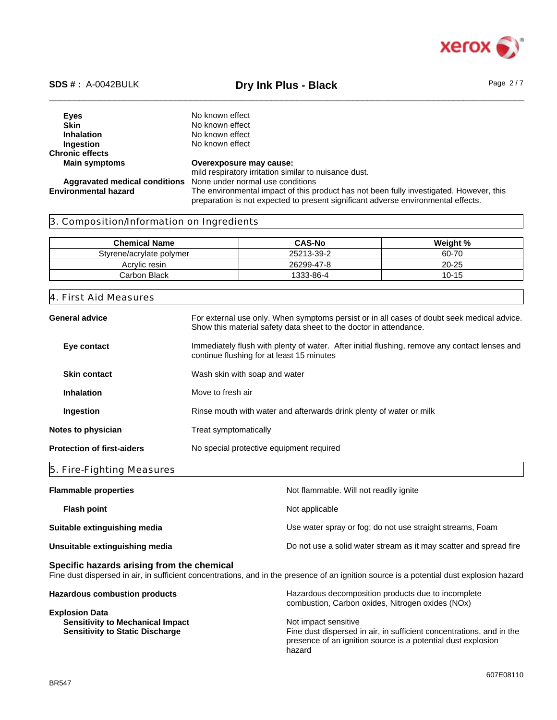

# \_\_\_\_\_\_\_\_\_\_\_\_\_\_\_\_\_\_\_\_\_\_\_\_\_\_\_\_\_\_\_\_\_\_\_\_\_\_\_\_\_\_\_\_\_\_\_\_\_\_\_\_\_\_\_\_\_\_\_\_\_\_\_\_\_\_\_\_\_\_\_\_\_\_\_\_\_\_\_\_\_\_\_\_\_\_\_\_\_\_\_\_\_\_ **SDS # :** A-0042BULK **Dry Ink Plus - Black** Page 2 / 7

**Eyes** No known effect<br> **Skin** No known effect **Skin**<br> **Inhalation**<br>
No known effect<br>
No known effect **Inhalation** No known effect<br> **Ingestion** No known effect **No known effect Chronic effects Main symptoms Overexposure may cause:** mild respiratory irritation similar to nuisance dust. **Aggravated medical conditions** None under normal use conditions The environmental impact of this product has not been fully investigated. However, this preparation is not expected to present significant adverse environmental effects.

# 3. Composition/Information on Ingredients

| <b>Chemical Name</b>     | <b>CAS-No</b> | Weight %  |
|--------------------------|---------------|-----------|
| Styrene/acrylate polymer | 25213-39-2    | 60-70     |
| Acrylic resin            | 26299-47-8    | $20 - 25$ |
| Carbon Black             | 1333-86-4     | $10 - 15$ |

## 4. First Aid Measures

| General advice                    | For external use only. When symptoms persist or in all cases of doubt seek medical advice.<br>Show this material safety data sheet to the doctor in attendance. |  |
|-----------------------------------|-----------------------------------------------------------------------------------------------------------------------------------------------------------------|--|
| Eye contact                       | Immediately flush with plenty of water. After initial flushing, remove any contact lenses and<br>continue flushing for at least 15 minutes                      |  |
| <b>Skin contact</b>               | Wash skin with soap and water                                                                                                                                   |  |
| <b>Inhalation</b>                 | Move to fresh air                                                                                                                                               |  |
| Ingestion                         | Rinse mouth with water and afterwards drink plenty of water or milk                                                                                             |  |
| Notes to physician                | Treat symptomatically                                                                                                                                           |  |
| <b>Protection of first-aiders</b> | No special protective equipment required                                                                                                                        |  |

# 5. Fire-Fighting Measures

| <b>Flammable properties</b>    | Not flammable. Will not readily ignite                            |
|--------------------------------|-------------------------------------------------------------------|
| <b>Flash point</b>             | Not applicable                                                    |
| Suitable extinguishing media   | Use water spray or fog; do not use straight streams, Foam         |
| Unsuitable extinguishing media | Do not use a solid water stream as it may scatter and spread fire |

# **Specific hazards arising from the chemical**

Fine dust dispersed in air, in sufficient concentrations, and in the presence of an ignition source is a potential dust explosion hazard

| <b>Hazardous combustion products</b>    | Hazardous decomposition products due to incomplete<br>combustion, Carbon oxides, Nitrogen oxides (NOx)                               |  |  |
|-----------------------------------------|--------------------------------------------------------------------------------------------------------------------------------------|--|--|
| <b>Explosion Data</b>                   |                                                                                                                                      |  |  |
| <b>Sensitivity to Mechanical Impact</b> | Not impact sensitive                                                                                                                 |  |  |
| <b>Sensitivity to Static Discharge</b>  | Fine dust dispersed in air, in sufficient concentrations, and in the<br>presence of an ignition source is a potential dust explosion |  |  |
|                                         | hazard                                                                                                                               |  |  |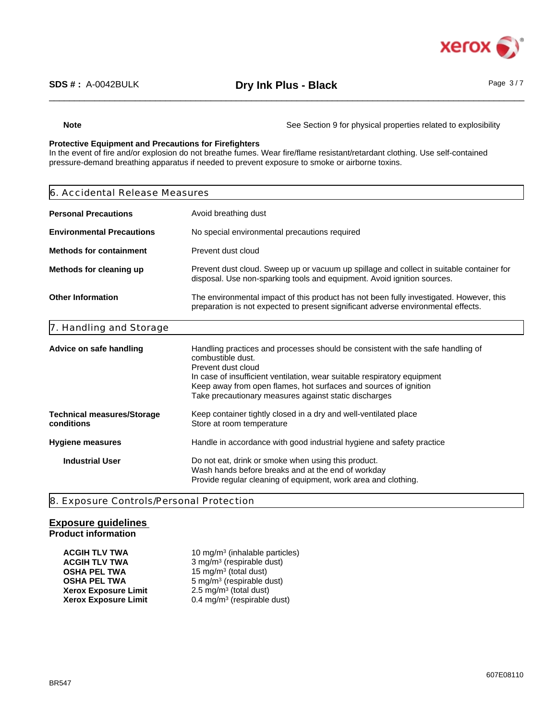

**Note** See Section 9 for physical properties related to explosibility

# **Protective Equipment and Precautions for Firefighters**

In the event of fire and/or explosion do not breathe fumes. Wear fire/flame resistant/retardant clothing. Use self-contained pressure-demand breathing apparatus if needed to prevent exposure to smoke or airborne toxins.

| 6. Accidental Release Measures                                                                                                                                                                           |                                                                                                                                                                                                                                                                                                                                     |  |
|----------------------------------------------------------------------------------------------------------------------------------------------------------------------------------------------------------|-------------------------------------------------------------------------------------------------------------------------------------------------------------------------------------------------------------------------------------------------------------------------------------------------------------------------------------|--|
| Avoid breathing dust<br><b>Personal Precautions</b>                                                                                                                                                      |                                                                                                                                                                                                                                                                                                                                     |  |
| No special environmental precautions required<br><b>Environmental Precautions</b>                                                                                                                        |                                                                                                                                                                                                                                                                                                                                     |  |
| Prevent dust cloud<br><b>Methods for containment</b>                                                                                                                                                     |                                                                                                                                                                                                                                                                                                                                     |  |
| Methods for cleaning up                                                                                                                                                                                  | Prevent dust cloud. Sweep up or vacuum up spillage and collect in suitable container for<br>disposal. Use non-sparking tools and equipment. Avoid ignition sources.                                                                                                                                                                 |  |
| <b>Other Information</b><br>The environmental impact of this product has not been fully investigated. However, this<br>preparation is not expected to present significant adverse environmental effects. |                                                                                                                                                                                                                                                                                                                                     |  |
| 7. Handling and Storage                                                                                                                                                                                  |                                                                                                                                                                                                                                                                                                                                     |  |
| Advice on safe handling                                                                                                                                                                                  | Handling practices and processes should be consistent with the safe handling of<br>combustible dust.<br>Prevent dust cloud<br>In case of insufficient ventilation, wear suitable respiratory equipment<br>Keep away from open flames, hot surfaces and sources of ignition<br>Take precautionary measures against static discharges |  |
| <b>Technical measures/Storage</b><br>conditions                                                                                                                                                          | Keep container tightly closed in a dry and well-ventilated place<br>Store at room temperature                                                                                                                                                                                                                                       |  |
| Hygiene measures                                                                                                                                                                                         | Handle in accordance with good industrial hygiene and safety practice                                                                                                                                                                                                                                                               |  |
| <b>Industrial User</b>                                                                                                                                                                                   | Do not eat, drink or smoke when using this product.<br>Wash hands before breaks and at the end of workday<br>Provide regular cleaning of equipment, work area and clothing.                                                                                                                                                         |  |
|                                                                                                                                                                                                          |                                                                                                                                                                                                                                                                                                                                     |  |

8. Exposure Controls/Personal Protection

# **Exposure guidelines Product information**

| <b>ACGIH TLV TWA</b>        | 10 mg/m <sup>3</sup> (inhalable particles) |
|-----------------------------|--------------------------------------------|
| <b>ACGIH TLV TWA</b>        | 3 mg/m <sup>3</sup> (respirable dust)      |
| <b>OSHA PEL TWA</b>         | 15 mg/m <sup>3</sup> (total dust)          |
| <b>OSHA PEL TWA</b>         | 5 mg/m <sup>3</sup> (respirable dust)      |
| <b>Xerox Exposure Limit</b> | $2.5 \text{ mg/m}^3$ (total dust)          |
| <b>Xerox Exposure Limit</b> | 0.4 mg/m <sup>3</sup> (respirable dust)    |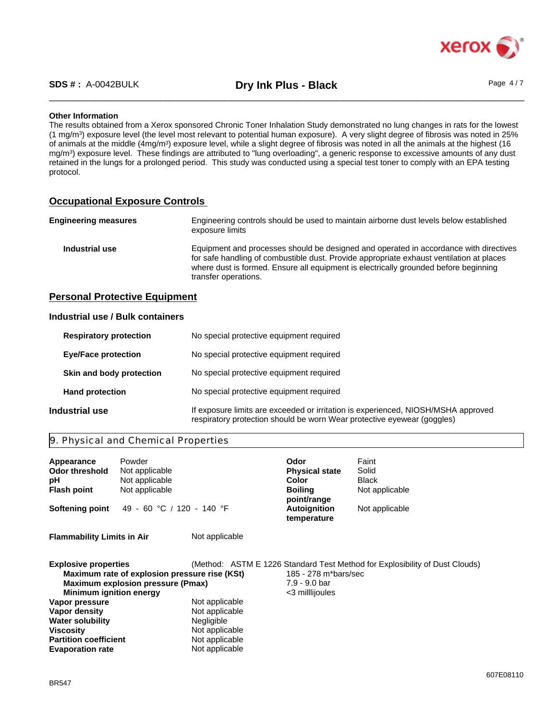

\_\_\_\_\_\_\_\_\_\_\_\_\_\_\_\_\_\_\_\_\_\_\_\_\_\_\_\_\_\_\_\_\_\_\_\_\_\_\_\_\_\_\_\_\_\_\_\_\_\_\_\_\_\_\_\_\_\_\_\_\_\_\_\_\_\_\_\_\_\_\_\_\_\_\_\_\_\_\_\_\_\_\_\_\_\_\_\_\_\_\_\_\_\_ **SDS # :** A-0042BULK **Dry Ink Plus - Black** Page 4 / 7

# **Other Information**

The results obtained from a Xerox sponsored Chronic Toner Inhalation Study demonstrated no lung changes in rats for the lowest (1 mg/m<sup>3</sup> ) exposure level (the level most relevant to potential human exposure). A very slight degree of fibrosis was noted in 25% of animals at the middle (4mg/m<sup>3</sup>) exposure level, while a slight degree of fibrosis was noted in all the animals at the highest (16 mg/m<sup>3</sup> ) exposure level. These findings are attributed to "lung overloading", a generic response to excessive amounts of any dust retained in the lungs for a prolonged period. This study was conducted using a special test toner to comply with an EPA testing protocol.

# **Occupational Exposure Controls**

| <b>Engineering measures</b> | Engineering controls should be used to maintain airborne dust levels below established<br>exposure limits                                                                                                                                                                                         |
|-----------------------------|---------------------------------------------------------------------------------------------------------------------------------------------------------------------------------------------------------------------------------------------------------------------------------------------------|
| Industrial use              | Equipment and processes should be designed and operated in accordance with directives<br>for safe handling of combustible dust. Provide appropriate exhaust ventilation at places<br>where dust is formed. Ensure all equipment is electrically grounded before beginning<br>transfer operations. |

# **Personal Protective Equipment**

# **Industrial use / Bulk containers**

| <b>Respiratory protection</b> |                            | No special protective equipment required                                                                                                                     |  |  |
|-------------------------------|----------------------------|--------------------------------------------------------------------------------------------------------------------------------------------------------------|--|--|
|                               | <b>Eye/Face protection</b> | No special protective equipment required                                                                                                                     |  |  |
|                               | Skin and body protection   | No special protective equipment required                                                                                                                     |  |  |
|                               | <b>Hand protection</b>     | No special protective equipment required                                                                                                                     |  |  |
|                               | Industrial use             | If exposure limits are exceeded or irritation is experienced, NIOSH/MSHA approved<br>respiratory protection should be worn Wear protective eyewear (goggles) |  |  |

# 9. Physical and Chemical Properties

**Partition coefficient** Not applicable<br> **Evaporation rate** Not applicable

| Appearance<br><b>Odor threshold</b><br>рH<br><b>Flash point</b><br>Softening point                                                 | Powder<br>Not applicable<br>Not applicable<br>Not applicable<br>49 - 60 °C / 120 - 140 °F |                                                       | Odor<br><b>Physical state</b><br>Color<br><b>Boiling</b><br>point/range<br><b>Autoignition</b><br>temperature | Faint<br>Solid<br><b>Black</b><br>Not applicable<br>Not applicable          |
|------------------------------------------------------------------------------------------------------------------------------------|-------------------------------------------------------------------------------------------|-------------------------------------------------------|---------------------------------------------------------------------------------------------------------------|-----------------------------------------------------------------------------|
| <b>Flammability Limits in Air</b>                                                                                                  |                                                                                           | Not applicable                                        |                                                                                                               |                                                                             |
| <b>Explosive properties</b><br><b>Minimum ignition energy</b><br>Vapor pressure<br><b>Vapor density</b><br><b>Water solubility</b> | Maximum rate of explosion pressure rise (KSt)<br><b>Maximum explosion pressure (Pmax)</b> | Not applicable<br>Not applicable<br><b>Negligible</b> | 185 - 278 m*bars/sec<br>7.9 - 9.0 bar<br><3 millijoules                                                       | (Method: ASTM E 1226 Standard Test Method for Explosibility of Dust Clouds) |
| <b>Viscositv</b>                                                                                                                   |                                                                                           | Not applicable                                        |                                                                                                               |                                                                             |

Not applicable<br>Not applicable

**Evaporation rate**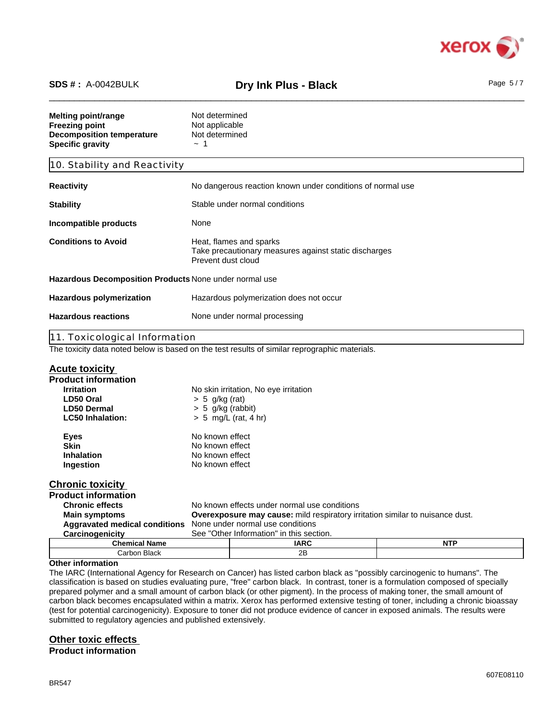

# \_\_\_\_\_\_\_\_\_\_\_\_\_\_\_\_\_\_\_\_\_\_\_\_\_\_\_\_\_\_\_\_\_\_\_\_\_\_\_\_\_\_\_\_\_\_\_\_\_\_\_\_\_\_\_\_\_\_\_\_\_\_\_\_\_\_\_\_\_\_\_\_\_\_\_\_\_\_\_\_\_\_\_\_\_\_\_\_\_\_\_\_\_\_ **SDS # :** A-0042BULK **Dry Ink Plus - Black** Page 5 / 7

| Melting point/range<br>Freezing point<br><b>Decomposition temperature</b><br><b>Specific gravity</b> | Not determined<br>Not applicable<br>Not determined<br>$\sim$ 1                                         |  |
|------------------------------------------------------------------------------------------------------|--------------------------------------------------------------------------------------------------------|--|
| 10. Stability and Reactivity                                                                         |                                                                                                        |  |
| Reactivity                                                                                           | No dangerous reaction known under conditions of normal use                                             |  |
| Stability                                                                                            | Stable under normal conditions                                                                         |  |
| Incompatible products                                                                                | None                                                                                                   |  |
| <b>Conditions to Avoid</b>                                                                           | Heat, flames and sparks<br>Take precautionary measures against static discharges<br>Prevent dust cloud |  |
| Hazardous Decomposition Products None under normal use                                               |                                                                                                        |  |
| <b>Hazardous polymerization</b>                                                                      | Hazardous polymerization does not occur                                                                |  |
| <b>Hazardous reactions</b>                                                                           | None under normal processing                                                                           |  |
| 11. Toxicological Information                                                                        |                                                                                                        |  |
|                                                                                                      | The toxicity data noted below is based on the test results of similar reprographic materials.          |  |

| <b>Acute toxicity</b>                |                                                                                      |             |            |  |  |
|--------------------------------------|--------------------------------------------------------------------------------------|-------------|------------|--|--|
| <b>Product information</b>           |                                                                                      |             |            |  |  |
| <b>Irritation</b>                    | No skin irritation, No eye irritation                                                |             |            |  |  |
| LD50 Oral                            | $> 5$ g/kg (rat)                                                                     |             |            |  |  |
| LD50 Dermal                          | $> 5$ g/kg (rabbit)                                                                  |             |            |  |  |
| <b>LC50 Inhalation:</b>              | $> 5$ mg/L (rat, 4 hr)                                                               |             |            |  |  |
| <b>Eyes</b>                          | No known effect                                                                      |             |            |  |  |
| <b>Skin</b>                          | No known effect                                                                      |             |            |  |  |
| <b>Inhalation</b>                    | No known effect                                                                      |             |            |  |  |
| Ingestion                            | No known effect                                                                      |             |            |  |  |
| <b>Chronic toxicity</b>              |                                                                                      |             |            |  |  |
| <b>Product information</b>           |                                                                                      |             |            |  |  |
| <b>Chronic effects</b>               | No known effects under normal use conditions                                         |             |            |  |  |
| <b>Main symptoms</b>                 | <b>Overexposure may cause:</b> mild respiratory irritation similar to nuisance dust. |             |            |  |  |
| <b>Aggravated medical conditions</b> | None under normal use conditions                                                     |             |            |  |  |
| Carcinogenicity                      | See "Other Information" in this section.                                             |             |            |  |  |
| <b>Chemical Name</b>                 |                                                                                      | <b>IARC</b> | <b>NTP</b> |  |  |
| Carbon Black                         |                                                                                      | 2B          |            |  |  |

## **Other information**

The IARC (International Agency for Research on Cancer) has listed carbon black as "possibly carcinogenic to humans". The classification is based on studies evaluating pure, "free" carbon black. In contrast, toner is a formulation composed of specially prepared polymer and a small amount of carbon black (or other pigment). In the process of making toner, the small amount of carbon black becomes encapsulated within a matrix. Xerox has performed extensive testing of toner, including a chronic bioassay (test for potential carcinogenicity). Exposure to toner did not produce evidence of cancer in exposed animals. The results were submitted to regulatory agencies and published extensively.

# **Other toxic effects**

**Product information**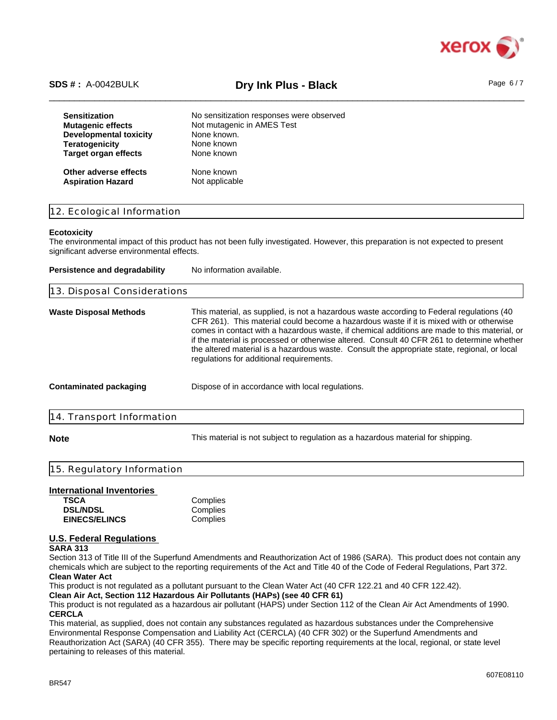

# \_\_\_\_\_\_\_\_\_\_\_\_\_\_\_\_\_\_\_\_\_\_\_\_\_\_\_\_\_\_\_\_\_\_\_\_\_\_\_\_\_\_\_\_\_\_\_\_\_\_\_\_\_\_\_\_\_\_\_\_\_\_\_\_\_\_\_\_\_\_\_\_\_\_\_\_\_\_\_\_\_\_\_\_\_\_\_\_\_\_\_\_\_\_ **SDS # :** A-0042BULK **Dry Ink Plus - Black** Page 6 / 7

| <b>Sensitization</b>          | No sensitization responses were observed |
|-------------------------------|------------------------------------------|
| <b>Mutagenic effects</b>      | Not mutagenic in AMES Test               |
| <b>Developmental toxicity</b> | None known.                              |
| <b>Teratogenicity</b>         | None known                               |
| <b>Target organ effects</b>   | None known                               |
| Other adverse effects         | None known                               |
| <b>Aspiration Hazard</b>      | Not applicable                           |

# 12. Ecological Information

### **Ecotoxicity**

The environmental impact of this product has not been fully investigated. However, this preparation is not expected to present significant adverse environmental effects.

| Persistence and degradability | No information available.                                                                                                                                                                                                                                                                                                                                                                                                                                                                                                      |
|-------------------------------|--------------------------------------------------------------------------------------------------------------------------------------------------------------------------------------------------------------------------------------------------------------------------------------------------------------------------------------------------------------------------------------------------------------------------------------------------------------------------------------------------------------------------------|
| 13. Disposal Considerations   |                                                                                                                                                                                                                                                                                                                                                                                                                                                                                                                                |
| Waste Disposal Methods        | This material, as supplied, is not a hazardous waste according to Federal regulations (40<br>CFR 261). This material could become a hazardous waste if it is mixed with or otherwise<br>comes in contact with a hazardous waste, if chemical additions are made to this material, or<br>if the material is processed or otherwise altered. Consult 40 CFR 261 to determine whether<br>the altered material is a hazardous waste. Consult the appropriate state, regional, or local<br>regulations for additional requirements. |
| Contaminated packaging        | Dispose of in accordance with local regulations.                                                                                                                                                                                                                                                                                                                                                                                                                                                                               |
| 14. Transport Information     |                                                                                                                                                                                                                                                                                                                                                                                                                                                                                                                                |
|                               |                                                                                                                                                                                                                                                                                                                                                                                                                                                                                                                                |

**Note** This material is not subject to regulation as a hazardous material for shipping.

# 15. Regulatory Information

# **International Inventories**

| TSCA                 | Complies |
|----------------------|----------|
| <b>DSL/NDSL</b>      | Complies |
| <b>EINECS/ELINCS</b> | Complies |

# **U.S. Federal Regulations**

### **SARA 313**

Section 313 of Title III of the Superfund Amendments and Reauthorization Act of 1986 (SARA). This product does not contain any chemicals which are subject to the reporting requirements of the Act and Title 40 of the Code of Federal Regulations, Part 372. **Clean Water Act**

This product is not regulated as a pollutant pursuant to the Clean Water Act (40 CFR 122.21 and 40 CFR 122.42).

**Clean Air Act, Section 112 Hazardous Air Pollutants (HAPs) (see 40 CFR 61)**

This product is not regulated as a hazardous air pollutant (HAPS) under Section 112 of the Clean Air Act Amendments of 1990. **CERCLA**

This material, as supplied, does not contain any substances regulated as hazardous substances under the Comprehensive Environmental Response Compensation and Liability Act (CERCLA) (40 CFR 302) or the Superfund Amendments and Reauthorization Act (SARA) (40 CFR 355). There may be specific reporting requirements at the local, regional, or state level pertaining to releases of this material.